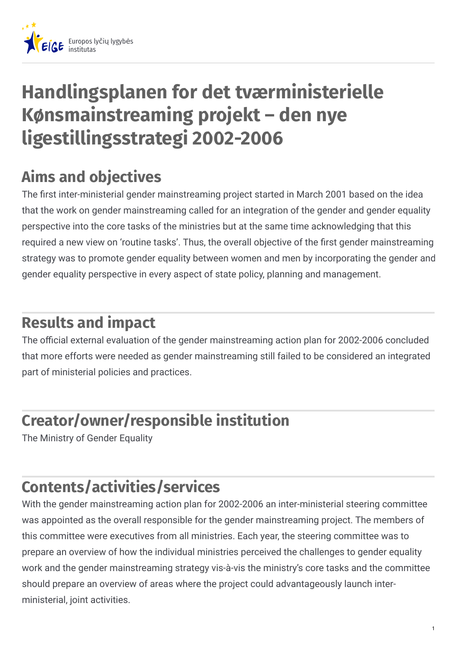

# **Handlingsplanen for det tværministerielle Kønsmainstreaming projekt – den nye ligestillingsstrategi 2002-2006**

## **Aims and objectives**

The first inter-ministerial gender mainstreaming project started in March 2001 based on the idea that the work on gender mainstreaming called for an integration of the gender and gender equality perspective into the core tasks of the ministries but at the same time acknowledging that this required a new view on 'routine tasks'. Thus, the overall objective of the first gender mainstreaming strategy was to promote gender equality between women and men by incorporating the gender and gender equality perspective in every aspect of state policy, planning and management.

#### **Results and impact**

The official external evaluation of the gender mainstreaming action plan for 2002-2006 concluded that more efforts were needed as gender mainstreaming still failed to be considered an integrated part of ministerial policies and practices.

### **Creator/owner/responsible institution**

The Ministry of Gender Equality

## **Contents/activities/services**

With the gender mainstreaming action plan for 2002-2006 an inter-ministerial steering committee was appointed as the overall responsible for the gender mainstreaming project. The members of this committee were executives from all ministries. Each year, the steering committee was to prepare an overview of how the individual ministries perceived the challenges to gender equality work and the gender mainstreaming strategy vis-à-vis the ministry's core tasks and the committee should prepare an overview of areas where the project could advantageously launch interministerial, joint activities.